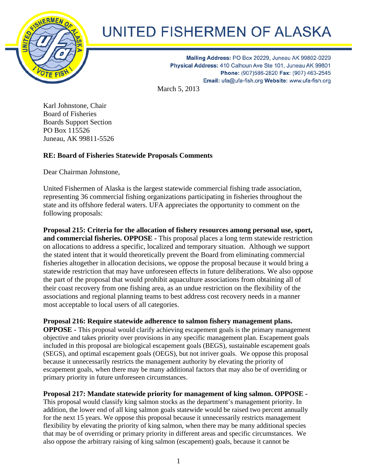

## **UNITED FISHERMEN OF ALASKA**

Mailing Address: PO Box 20229, Juneau AK 99802-0229 Physical Address: 410 Calhoun Ave Ste 101, Juneau AK 99801 Phone: (907)586-2820 Fax: (907) 463-2545 Email: ufa@ufa-fish.org Website: www.ufa-fish.org

March 5, 2013

Karl Johnstone, Chair Board of Fisheries Boards Support Section PO Box 115526 Juneau, AK 99811-5526

## **RE: Board of Fisheries Statewide Proposals Comments**

Dear Chairman Johnstone,

United Fishermen of Alaska is the largest statewide commercial fishing trade association, representing 36 commercial fishing organizations participating in fisheries throughout the state and its offshore federal waters. UFA appreciates the opportunity to comment on the following proposals:

**Proposal 215: Criteria for the allocation of fishery resources among personal use, sport, and commercial fisheries. OPPOSE -** This proposal places a long term statewide restriction on allocations to address a specific, localized and temporary situation. Although we support the stated intent that it would theoretically prevent the Board from eliminating commercial fisheries altogether in allocation decisions, we oppose the proposal because it would bring a statewide restriction that may have unforeseen effects in future deliberations. We also oppose the part of the proposal that would prohibit aquaculture associations from obtaining all of their coast recovery from one fishing area, as an undue restriction on the flexibility of the associations and regional planning teams to best address cost recovery needs in a manner most acceptable to local users of all categories.

**Proposal 216: Require statewide adherence to salmon fishery management plans. OPPOSE -** This proposal would clarify achieving escapement goals is the primary management objective and takes priority over provisions in any specific management plan. Escapement goals included in this proposal are biological escapement goals (BEGS), sustainable escapement goals (SEGS), and optimal escapement goals (OEGS), but not inriver goals. We oppose this proposal because it unnecessarily restricts the management authority by elevating the priority of escapement goals, when there may be many additional factors that may also be of overriding or primary priority in future unforeseen circumstances.

## **Proposal 217: Mandate statewide priority for management of king salmon. OPPOSE -**

This proposal would classify king salmon stocks as the department's management priority. In addition, the lower end of all king salmon goals statewide would be raised two percent annually for the next 15 years. We oppose this proposal because it unnecessarily restricts management flexibility by elevating the priority of king salmon, when there may be many additional species that may be of overriding or primary priority in different areas and specific circumstances. We also oppose the arbitrary raising of king salmon (escapement) goals, because it cannot be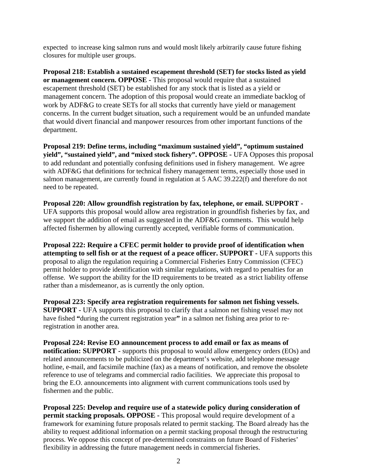expected to increase king salmon runs and would moslt likely arbitrarily cause future fishing closures for multiple user groups.

**Proposal 218: Establish a sustained escapement threshold (SET) for stocks listed as yield or management concern. OPPOSE -** This proposal would require that a sustained escapement threshold (SET) be established for any stock that is listed as a yield or management concern. The adoption of this proposal would create an immediate backlog of work by ADF&G to create SETs for all stocks that currently have yield or management concerns. In the current budget situation, such a requirement would be an unfunded mandate that would divert financial and manpower resources from other important functions of the department.

**Proposal 219: Define terms, including "maximum sustained yield", "optimum sustained yield", "sustained yield", and "mixed stock fishery". OPPOSE -** UFA Opposes this proposal to add redundant and potentially confusing definitions used in fishery management. We agree with ADF&G that definitions for technical fishery management terms, especially those used in salmon management, are currently found in regulation at 5 AAC 39.222(f) and therefore do not need to be repeated.

**Proposal 220: Allow groundfish registration by fax, telephone, or email. SUPPORT -** UFA supports this proposal would allow area registration in groundfish fisheries by fax, and we support the addition of email as suggested in the ADF&G comments. This would help affected fishermen by allowing currently accepted, verifiable forms of communication.

**Proposal 222: Require a CFEC permit holder to provide proof of identification when attempting to sell fish or at the request of a peace officer. SUPPORT -** UFA supports this proposal to align the regulation requiring a Commercial Fisheries Entry Commission (CFEC) permit holder to provide identification with similar regulations, with regard to penalties for an offense. We support the ability for the ID requirements to be treated as a strict liability offense rather than a misdemeanor, as is currently the only option.

**Proposal 223: Specify area registration requirements for salmon net fishing vessels. SUPPORT -** UFA supports this proposal to clarify that a salmon net fishing vessel may not have fished **"**during the current registration year**"** in a salmon net fishing area prior to reregistration in another area.

**Proposal 224: Revise EO announcement process to add email or fax as means of notification: SUPPORT -** supports this proposal to would allow emergency orders (EOs) and related announcements to be publicized on the department's website, add telephone message hotline, e-mail, and facsimile machine (fax) as a means of notification, and remove the obsolete reference to use of telegrams and commercial radio facilities. We appreciate this proposal to bring the E.O. announcements into alignment with current communications tools used by fishermen and the public.

**Proposal 225: Develop and require use of a statewide policy during consideration of permit stacking proposals. OPPOSE -** This proposal would require development of a framework for examining future proposals related to permit stacking. The Board already has the ability to request additional information on a permit stacking proposal through the restructuring process. We oppose this concept of pre-determined constraints on future Board of Fisheries' flexibility in addressing the future management needs in commercial fisheries.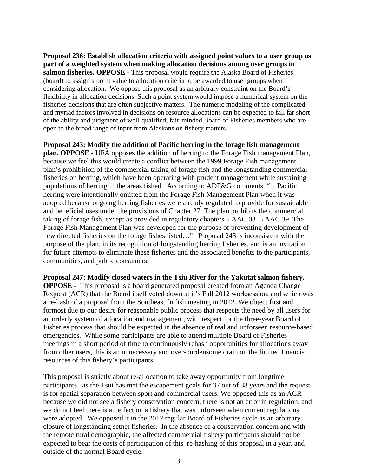**Proposal 236: Establish allocation criteria with assigned point values to a user group as part of a weighted system when making allocation decisions among user groups in salmon fisheries. OPPOSE -** This proposal would require the Alaska Board of Fisheries (board) to assign a point value to allocation criteria to be awarded to user groups when considering allocation. We oppose this proposal as an arbitrary constraint on the Board's flexibility in allocation decisions. Such a point system would impose a numerical system on the fisheries decisions that are often subjective matters. The numeric modeling of the complicated and myriad factors involved in decisions on resource allocations can be expected to fall far short of the ability and judgment of well-qualified, fair-minded Board of Fisheries members who are open to the broad range of input from Alaskans on fishery matters.

**Proposal 243: Modify the addition of Pacific herring in the forage fish management plan. OPPOSE -** UFA opposes the addition of herring to the Forage Fish management Plan, because we feel this would create a conflict between the 1999 Forage Fish management plan's prohibition of the commercial taking of forage fish and the longstanding commercial fisheries on herring, which have been operating with prudent management while sustaining populations of herring in the areas fished. According to ADF&G comments, "…Pacific herring were intentionally omitted from the Forage Fish Management Plan when it was adopted because ongoing herring fisheries were already regulated to provide for sustainable and beneficial uses under the provisions of Chapter 27. The plan prohibits the commercial taking of forage fish, except as provided in regulatory chapters 5 AAC 03–5 AAC 39. The Forage Fish Management Plan was developed for the purpose of preventing development of new directed fisheries on the forage fishes listed…" Proposal 243 is inconsistent with the purpose of the plan, in its recognition of longstanding herring fisheries, and is an invitation for future attempts to eliminate these fisheries and the associated benefits to the participants, communities, and public consumers.

**Proposal 247: Modify closed waters in the Tsiu River for the Yakutat salmon fishery. OPPOSE -** This proposal is a board generated proposal created from an Agenda Change Request (ACR) that the Board itself voted down at it's Fall 2012 worksession, and which was a re-hash of a proposal from the Southeast finfish meeting in 2012. We object first and formost due to our desire for reasonable public process that respects the need by all users for an orderly system of allocation and management, with respect for the three-year Board of Fisheries process that should be expected in the absence of real and unforseen resource-based emergencies. While some participants are able to attend multiple Board of Fisheries meetings in a short period of time to continuously rehash opportunities for allocations away from other users, this is an unnecessary and over-burdensome drain on the limited financial resources of this fishery's participants.

This proposal is strictly about re-allocation to take away opportunity from longtime participants, as the Tsui has met the escapement goals for 37 out of 38 years and the request is for spatial separation between sport and commercial users. We opposed this as an ACR because we did not see a fishery conservation concern, there is not an error in regulation, and we do not feel there is an effect on a fishery that was unforseen when current regulations were adopted. We opposed it in the 2012 regular Board of Fisheries cycle as an arbitrary closure of longstanding setnet fisheries. In the absence of a conservation concern and with the remote rural demographic, the affected commercial fishery participants should not be expected to bear the costs of participation of this re-hashing of this proposal in a year, and outside of the normal Board cycle.